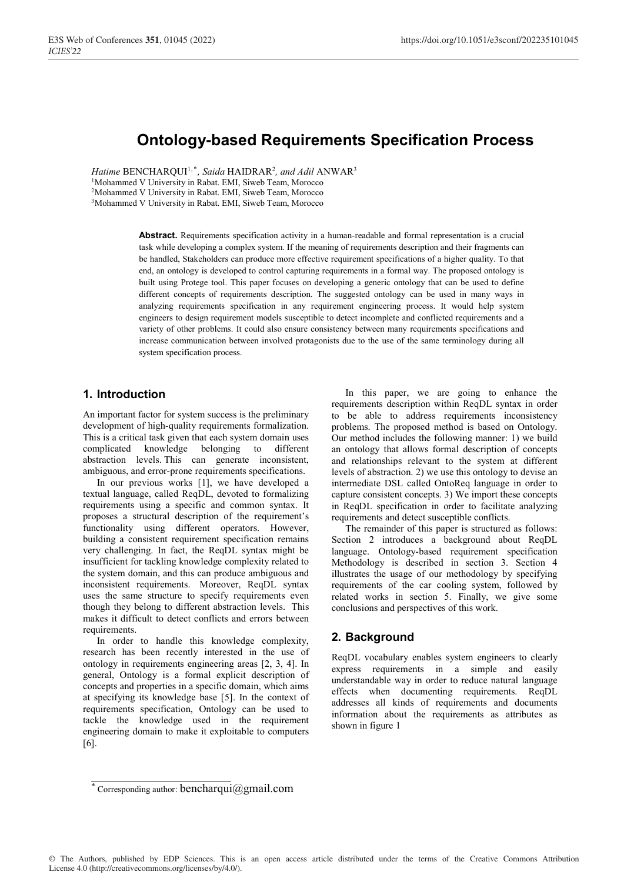# **Ontology-based Requirements Specification Process**

Hatime BENCHARQUI<sup>1,\*</sup>, Saida HAIDRAR<sup>2</sup>, and Adil ANWAR<sup>3</sup> <sup>1</sup>Mohammed V University in Rabat. EMI, Siweb Team, Morocco 2Mohammed V University in Rabat. EMI, Siweb Team, Morocco 3Mohammed V University in Rabat. EMI, Siweb Team, Morocco

> **Abstract.** Requirements specification activity in a human-readable and formal representation is a crucial task while developing a complex system. If the meaning of requirements description and their fragments can be handled, Stakeholders can produce more effective requirement specifications of a higher quality. To that end, an ontology is developed to control capturing requirements in a formal way. The proposed ontology is built using Protege tool. This paper focuses on developing a generic ontology that can be used to define different concepts of requirements description. The suggested ontology can be used in many ways in analyzing requirements specification in any requirement engineering process. It would help system engineers to design requirement models susceptible to detect incomplete and conflicted requirements and a variety of other problems. It could also ensure consistency between many requirements specifications and increase communication between involved protagonists due to the use of the same terminology during all system specification process.

# **1. Introduction**

An important factor for system success is the preliminary development of high-quality requirements formalization. This is a critical task given that each system domain uses complicated knowledge belonging to different abstraction levels. This can generate inconsistent, ambiguous, and error-prone requirements specifications.

In our previous works [1], we have developed a textual language, called ReqDL, devoted to formalizing requirements using a specific and common syntax. It proposes a structural description of the requirement's functionality using different operators. However, building a consistent requirement specification remains very challenging. In fact, the ReqDL syntax might be insufficient for tackling knowledge complexity related to the system domain, and this can produce ambiguous and inconsistent requirements. Moreover, ReqDL syntax uses the same structure to specify requirements even though they belong to different abstraction levels. This makes it difficult to detect conflicts and errors between requirements.

In order to handle this knowledge complexity, research has been recently interested in the use of ontology in requirements engineering areas [2, 3, 4]. In general, Ontology is a formal explicit description of concepts and properties in a specific domain, which aims at specifying its knowledge base [5]. In the context of requirements specification, Ontology can be used to tackle the knowledge used in the requirement engineering domain to make it exploitable to computers [6].

In this paper, we are going to enhance the requirements description within ReqDL syntax in order to be able to address requirements inconsistency problems. The proposed method is based on Ontology. Our method includes the following manner: 1) we build an ontology that allows formal description of concepts and relationships relevant to the system at different levels of abstraction. 2) we use this ontology to devise an intermediate DSL called OntoReq language in order to capture consistent concepts. 3) We import these concepts in ReqDL specification in order to facilitate analyzing requirements and detect susceptible conflicts.

The remainder of this paper is structured as follows: Section 2 introduces a background about ReqDL language. Ontology-based requirement specification Methodology is described in section 3. Section 4 illustrates the usage of our methodology by specifying requirements of the car cooling system, followed by related works in section 5. Finally, we give some conclusions and perspectives of this work.

# **2. Background**

ReqDL vocabulary enables system engineers to clearly express requirements in a simple and easily understandable way in order to reduce natural language effects when documenting requirements. ReqDL addresses all kinds of requirements and documents information about the requirements as attributes as shown in figure 1

<sup>\*</sup> Corresponding author: bencharqui@gmail.com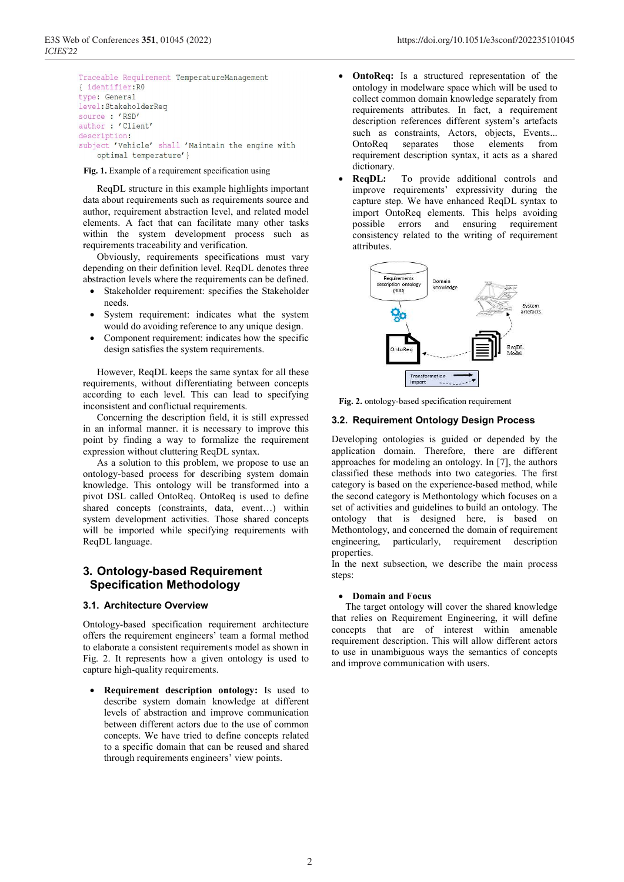```
Traceable Requirement TemperatureManagement
{ identifier: RO
type: General
level:StakeholderReq
source : 'RSD'
author: 'Client'
description:
subject 'Vehicle' shall 'Maintain the engine with
    optimal temperature' }
```
#### **Fig. 1.** Example of a requirement specification using

ReqDL structure in this example highlights important data about requirements such as requirements source and author, requirement abstraction level, and related model elements. A fact that can facilitate many other tasks within the system development process such as requirements traceability and verification.

Obviously, requirements specifications must vary depending on their definition level. ReqDL denotes three abstraction levels where the requirements can be defined.

- Stakeholder requirement: specifies the Stakeholder needs.
- System requirement: indicates what the system would do avoiding reference to any unique design.
- Component requirement: indicates how the specific design satisfies the system requirements.

However, ReqDL keeps the same syntax for all these requirements, without differentiating between concepts according to each level. This can lead to specifying inconsistent and conflictual requirements.

Concerning the description field, it is still expressed in an informal manner. it is necessary to improve this point by finding a way to formalize the requirement expression without cluttering ReqDL syntax.

As a solution to this problem, we propose to use an ontology-based process for describing system domain knowledge. This ontology will be transformed into a pivot DSL called OntoReq. OntoReq is used to define shared concepts (constraints, data, event…) within system development activities. Those shared concepts will be imported while specifying requirements with ReqDL language.

# **3. Ontology-based Requirement Specification Methodology**

### **3.1. Architecture Overview**

Ontology-based specification requirement architecture offers the requirement engineers' team a formal method to elaborate a consistent requirements model as shown in Fig. 2. It represents how a given ontology is used to capture high-quality requirements.

 **Requirement description ontology:** Is used to describe system domain knowledge at different levels of abstraction and improve communication between different actors due to the use of common concepts. We have tried to define concepts related to a specific domain that can be reused and shared through requirements engineers' view points.

- **OntoReq:** Is a structured representation of the ontology in modelware space which will be used to collect common domain knowledge separately from requirements attributes. In fact, a requirement description references different system's artefacts such as constraints, Actors, objects, Events...<br>OntoReq separates those elements from OntoReq separates requirement description syntax, it acts as a shared dictionary.
- **ReqDL:** To provide additional controls and improve requirements' expressivity during the capture step. We have enhanced ReqDL syntax to import OntoReq elements. This helps avoiding possible errors and ensuring requirement consistency related to the writing of requirement attributes.



**Fig. 2.** ontology-based specification requirement

### **3.2. Requirement Ontology Design Process**

Developing ontologies is guided or depended by the application domain. Therefore, there are different approaches for modeling an ontology. In [7], the authors classified these methods into two categories. The first category is based on the experience-based method, while the second category is Methontology which focuses on a set of activities and guidelines to build an ontology. The ontology that is designed here, is based on Methontology, and concerned the domain of requirement engineering, particularly, requirement description properties.

In the next subsection, we describe the main process steps:

#### **Domain and Focus**

The target ontology will cover the shared knowledge that relies on Requirement Engineering, it will define concepts that are of interest within amenable requirement description. This will allow different actors to use in unambiguous ways the semantics of concepts and improve communication with users.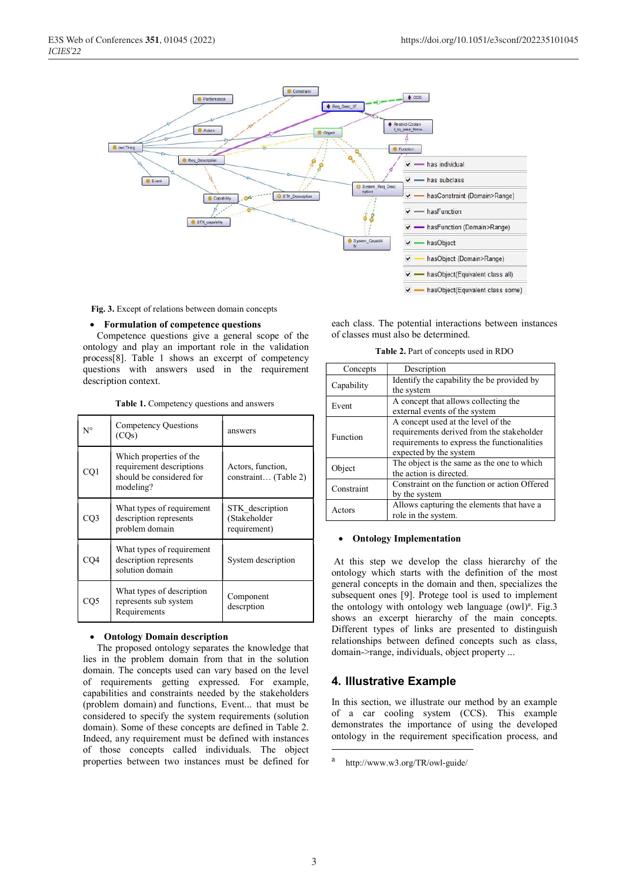

**Fig. 3.** Except of relations between domain concepts

#### **Formulation of competence questions**

Competence questions give a general scope of the ontology and play an important role in the validation process[8]. Table 1 shows an excerpt of competency questions with answers used in the requirement description context.

**Table 1.** Competency questions and answers

| $N^{\circ}$ | Competency Questions<br>(COs)                                                                | answers                                         |  |
|-------------|----------------------------------------------------------------------------------------------|-------------------------------------------------|--|
| CQ1         | Which properties of the<br>requirement descriptions<br>should be considered for<br>modeling? | Actors, function,<br>constraint (Table 2)       |  |
| CQ3         | What types of requirement<br>description represents<br>problem domain                        | STK description<br>(Stakeholder<br>requirement) |  |
| CQ4         | What types of requirement<br>description represents<br>solution domain                       | System description                              |  |
| CQ5         | What types of description<br>represents sub system<br>Requirements                           | Component<br>descrption                         |  |

#### **Ontology Domain description**

The proposed ontology separates the knowledge that lies in the problem domain from that in the solution domain. The concepts used can vary based on the level of requirements getting expressed. For example, capabilities and constraints needed by the stakeholders (problem domain) and functions, Event... that must be considered to specify the system requirements (solution domain). Some of these concepts are defined in Table 2. Indeed, any requirement must be defined with instances of those concepts called individuals. The object properties between two instances must be defined for each class. The potential interactions between instances of classes must also be determined.

**Table 2.** Part of concepts used in RDO

| Concepts   | Description                                  |  |  |  |
|------------|----------------------------------------------|--|--|--|
| Capability | Identify the capability the be provided by   |  |  |  |
|            | the system                                   |  |  |  |
| Event      | A concept that allows collecting the         |  |  |  |
|            | external events of the system                |  |  |  |
|            | A concept used at the level of the           |  |  |  |
| Function   | requirements derived from the stakeholder    |  |  |  |
|            | requirements to express the functionalities  |  |  |  |
|            | expected by the system                       |  |  |  |
| Object     | The object is the same as the one to which   |  |  |  |
|            | the action is directed.                      |  |  |  |
| Constraint | Constraint on the function or action Offered |  |  |  |
|            | by the system                                |  |  |  |
| Actors     | Allows capturing the elements that have a    |  |  |  |
|            | role in the system.                          |  |  |  |

#### **Ontology Implementation**

At this step we develop the class hierarchy of the ontology which starts with the definition of the most general concepts in the domain and then, specializes the subsequent ones [9]. Protege tool is used to implement the ontology with ontology web language (owl)<sup>a</sup>. Fig.3 shows an excerpt hierarchy of the main concepts. Different types of links are presented to distinguish relationships between defined concepts such as class, domain->range, individuals, object property ...

# **4. Illustrative Example**

In this section, we illustrate our method by an example of a car cooling system (CCS). This example demonstrates the importance of using the developed ontology in the requirement specification process, and

 $\overline{\phantom{a}}$ 

a http://www.w3.org/TR/owl-guide/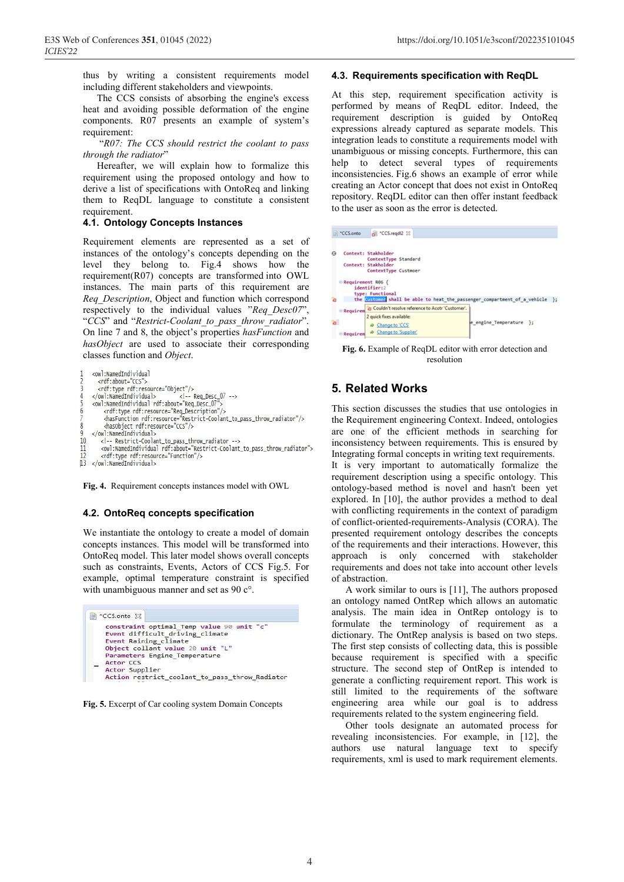thus by writing a consistent requirements model including different stakeholders and viewpoints.

The CCS consists of absorbing the engine's excess heat and avoiding possible deformation of the engine components. R07 presents an example of system's requirement:

 "*R07: The CCS should restrict the coolant to pass through the radiator*"

Hereafter, we will explain how to formalize this requirement using the proposed ontology and how to derive a list of specifications with OntoReq and linking them to ReqDL language to constitute a consistent requirement.

### **4.1. Ontology Concepts Instances**

Requirement elements are represented as a set of instances of the ontology's concepts depending on the level they belong to. Fig.4 shows how the requirement(R07) concepts are transformed into OWL instances. The main parts of this requirement are *Req\_Description*, Object and function which correspond respectively to the individual values "*Req\_Desc07*", "*CCS*" and "*Restrict-Coolant\_to\_pass\_throw\_radiator*". On line 7 and 8, the object's properties *hasFunction* and *hasObject* are used to associate their corresponding classes function and *Object*.

```
<owl:NamedIndividual
    Von: . national<br>
<rdf: type rdf: resource="Object"/><br>
<rdf: type rdf: resource="Object"/><br>
</owl:NamedIndividual><br>
<www.i:NamedIndividual><br>
<www.i:NamedIndividual rdf: about="Req_Desc_07">
          <hasObject rdf:resource="CCS"/>
     </owl:NamedIndividual>
         <!-- Restrict-Coolant_to_pass_throw_radiator -->
10
         <owl:NamedIndividual rdf:about="Restrict-Coolant_to_pass_throw_radiator">
11<rdf:type rdf:resource="Function"/>
13 </owl:NamedIndividual>
```
**Fig. 4.** Requirement concepts instances model with OWL

### **4.2. OntoReq concepts specification**

We instantiate the ontology to create a model of domain concepts instances. This model will be transformed into OntoReq model. This later model shows overall concepts such as constraints, Events, Actors of CCS Fig.5. For example, optimal temperature constraint is specified with unambiguous manner and set as 90 c°.



**Fig. 5.** Excerpt of Car cooling system Domain Concepts

#### **4.3. Requirements specification with ReqDL**

At this step, requirement specification activity is performed by means of ReqDL editor. Indeed, the requirement description is guided by OntoReq expressions already captured as separate models. This integration leads to constitute a requirements model with unambiguous or missing concepts. Furthermore, this can help to detect several types of requirements inconsistencies. Fig.6 shows an example of error while creating an Actor concept that does not exist in OntoReq repository. ReqDL editor can then offer instant feedback to the user as soon as the error is detected.

|    | *CCS.onto         | CCS.readl2 23                                   |                                                                              |  |
|----|-------------------|-------------------------------------------------|------------------------------------------------------------------------------|--|
|    |                   |                                                 |                                                                              |  |
| ø  |                   | Context: Stakholder                             |                                                                              |  |
|    |                   | ContextType Standard                            |                                                                              |  |
|    |                   | Context: Stakholder                             |                                                                              |  |
|    |                   | ContextType Custmoer                            |                                                                              |  |
|    | Requirement R06 { | identifier:2<br>type: Functional                | the customan shall be able to heat the passenger compartment of a vehicle }; |  |
|    | $@$ Requirem      | Couldn't resolve reference to Acotr 'Customer'. |                                                                              |  |
|    |                   | 2 quick fixes available:                        |                                                                              |  |
| ъ. |                   |                                                 | e engine Temperature };                                                      |  |
|    |                   | Change to 'CCS'                                 |                                                                              |  |
|    |                   | Change to 'Supplier'                            |                                                                              |  |

**Fig. 6.** Example of ReqDL editor with error detection and resolution

# **5. Related Works**

This section discusses the studies that use ontologies in the Requirement engineering Context. Indeed, ontologies are one of the efficient methods in searching for inconsistency between requirements. This is ensured by Integrating formal concepts in writing text requirements. It is very important to automatically formalize the requirement description using a specific ontology. This ontology-based method is novel and hasn't been yet explored. In [10], the author provides a method to deal with conflicting requirements in the context of paradigm of conflict-oriented-requirements-Analysis (CORA). The presented requirement ontology describes the concepts of the requirements and their interactions. However, this approach is only concerned with stakeholder requirements and does not take into account other levels of abstraction.

A work similar to ours is [11], The authors proposed an ontology named OntRep which allows an automatic analysis. The main idea in OntRep ontology is to formulate the terminology of requirement as a dictionary. The OntRep analysis is based on two steps. The first step consists of collecting data, this is possible because requirement is specified with a specific structure. The second step of OntRep is intended to generate a conflicting requirement report. This work is still limited to the requirements of the software engineering area while our goal is to address requirements related to the system engineering field.

Other tools designate an automated process for revealing inconsistencies. For example, in [12], the authors use natural language text to specify requirements, xml is used to mark requirement elements.